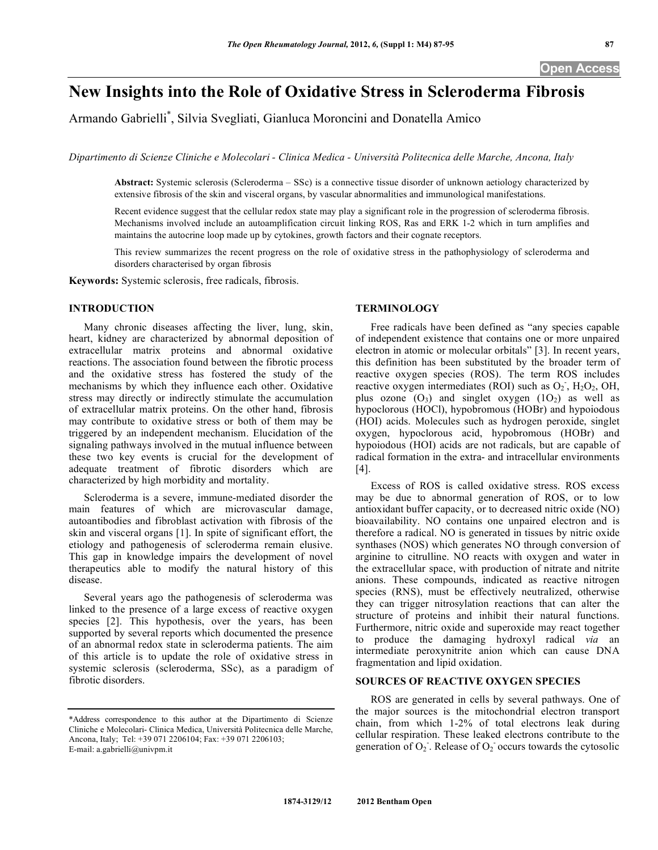# **New Insights into the Role of Oxidative Stress in Scleroderma Fibrosis**

Armando Gabrielli\* , Silvia Svegliati, Gianluca Moroncini and Donatella Amico

*Dipartimento di Scienze Cliniche e Molecolari - Clinica Medica - Università Politecnica delle Marche, Ancona, Italy* 

**Abstract:** Systemic sclerosis (Scleroderma – SSc) is a connective tissue disorder of unknown aetiology characterized by extensive fibrosis of the skin and visceral organs, by vascular abnormalities and immunological manifestations.

Recent evidence suggest that the cellular redox state may play a significant role in the progression of scleroderma fibrosis. Mechanisms involved include an autoamplification circuit linking ROS, Ras and ERK 1-2 which in turn amplifies and maintains the autocrine loop made up by cytokines, growth factors and their cognate receptors.

This review summarizes the recent progress on the role of oxidative stress in the pathophysiology of scleroderma and disorders characterised by organ fibrosis

**Keywords:** Systemic sclerosis, free radicals, fibrosis.

#### **INTRODUCTION**

 Many chronic diseases affecting the liver, lung, skin, heart, kidney are characterized by abnormal deposition of extracellular matrix proteins and abnormal oxidative reactions. The association found between the fibrotic process and the oxidative stress has fostered the study of the mechanisms by which they influence each other. Oxidative stress may directly or indirectly stimulate the accumulation of extracellular matrix proteins. On the other hand, fibrosis may contribute to oxidative stress or both of them may be triggered by an independent mechanism. Elucidation of the signaling pathways involved in the mutual influence between these two key events is crucial for the development of adequate treatment of fibrotic disorders which are characterized by high morbidity and mortality.

 Scleroderma is a severe, immune-mediated disorder the main features of which are microvascular damage, autoantibodies and fibroblast activation with fibrosis of the skin and visceral organs [1]. In spite of significant effort, the etiology and pathogenesis of scleroderma remain elusive. This gap in knowledge impairs the development of novel therapeutics able to modify the natural history of this disease.

 Several years ago the pathogenesis of scleroderma was linked to the presence of a large excess of reactive oxygen species [2]. This hypothesis, over the years, has been supported by several reports which documented the presence of an abnormal redox state in scleroderma patients. The aim of this article is to update the role of oxidative stress in systemic sclerosis (scleroderma, SSc), as a paradigm of fibrotic disorders.

#### **TERMINOLOGY**

 Free radicals have been defined as "any species capable of independent existence that contains one or more unpaired electron in atomic or molecular orbitals" [3]. In recent years, this definition has been substituted by the broader term of reactive oxygen species (ROS). The term ROS includes reactive oxygen intermediates (ROI) such as  $O_2$ ,  $H_2O_2$ , OH, plus ozone  $(O_3)$  and singlet oxygen  $(1O_2)$  as well as hypoclorous (HOCl), hypobromous (HOBr) and hypoiodous (HOI) acids. Molecules such as hydrogen peroxide, singlet oxygen, hypoclorous acid, hypobromous (HOBr) and hypoiodous (HOI) acids are not radicals, but are capable of radical formation in the extra- and intracellular environments [4].

 Excess of ROS is called oxidative stress. ROS excess may be due to abnormal generation of ROS, or to low antioxidant buffer capacity, or to decreased nitric oxide (NO) bioavailability. NO contains one unpaired electron and is therefore a radical. NO is generated in tissues by nitric oxide synthases (NOS) which generates NO through conversion of arginine to citrulline. NO reacts with oxygen and water in the extracellular space, with production of nitrate and nitrite anions. These compounds, indicated as reactive nitrogen species (RNS), must be effectively neutralized, otherwise they can trigger nitrosylation reactions that can alter the structure of proteins and inhibit their natural functions. Furthermore, nitric oxide and superoxide may react together to produce the damaging hydroxyl radical *via* an intermediate peroxynitrite anion which can cause DNA fragmentation and lipid oxidation.

# **SOURCES OF REACTIVE OXYGEN SPECIES**

 ROS are generated in cells by several pathways. One of the major sources is the mitochondrial electron transport chain, from which 1-2% of total electrons leak during cellular respiration. These leaked electrons contribute to the generation of  $O_2$ . Release of  $O_2$  occurs towards the cytosolic

<sup>\*</sup>Address correspondence to this author at the Dipartimento di Scienze Cliniche e Molecolari- Clinica Medica, Università Politecnica delle Marche, Ancona, Italy; Tel: +39 071 2206104; Fax: +39 071 2206103; E-mail: a.gabrielli@univpm.it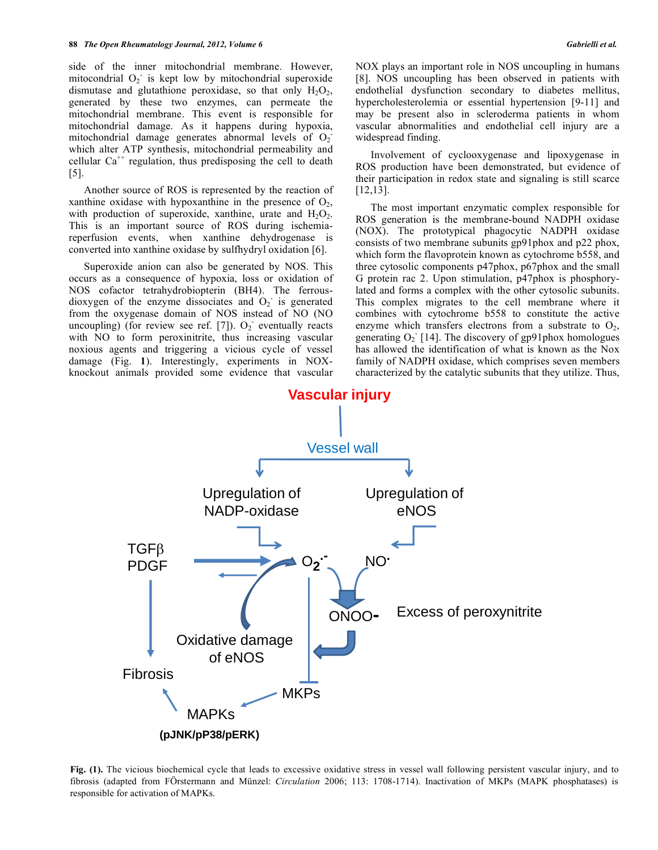side of the inner mitochondrial membrane. However, mitocondrial  $O_2$  is kept low by mitochondrial superoxide dismutase and glutathione peroxidase, so that only  $H_2O_2$ , generated by these two enzymes, can permeate the mitochondrial membrane. This event is responsible for mitochondrial damage. As it happens during hypoxia, mitochondrial damage generates abnormal levels of  $O_2$ which alter ATP synthesis, mitochondrial permeability and cellular  $Ca^{++}$  regulation, thus predisposing the cell to death [5].

 Another source of ROS is represented by the reaction of xanthine oxidase with hypoxanthine in the presence of  $O<sub>2</sub>$ , with production of superoxide, xanthine, urate and  $H_2O_2$ . This is an important source of ROS during ischemiareperfusion events, when xanthine dehydrogenase is converted into xanthine oxidase by sulfhydryl oxidation [6].

 Superoxide anion can also be generated by NOS. This occurs as a consequence of hypoxia, loss or oxidation of NOS cofactor tetrahydrobiopterin (BH4). The ferrousdioxygen of the enzyme dissociates and  $O_2$  is generated from the oxygenase domain of NOS instead of NO (NO uncoupling) (for review see ref. [7]).  $O_2$  eventually reacts with NO to form peroxinitrite, thus increasing vascular noxious agents and triggering a vicious cycle of vessel damage (Fig. **1**). Interestingly, experiments in NOXknockout animals provided some evidence that vascular

NOX plays an important role in NOS uncoupling in humans [8]. NOS uncoupling has been observed in patients with endothelial dysfunction secondary to diabetes mellitus, hypercholesterolemia or essential hypertension [9-11] and may be present also in scleroderma patients in whom vascular abnormalities and endothelial cell injury are a widespread finding.

 Involvement of cyclooxygenase and lipoxygenase in ROS production have been demonstrated, but evidence of their participation in redox state and signaling is still scarce [12,13].

 The most important enzymatic complex responsible for ROS generation is the membrane-bound NADPH oxidase (NOX). The prototypical phagocytic NADPH oxidase consists of two membrane subunits gp91phox and p22 phox, which form the flavoprotein known as cytochrome b558, and three cytosolic components p47phox, p67phox and the small G protein rac 2. Upon stimulation, p47phox is phosphorylated and forms a complex with the other cytosolic subunits. This complex migrates to the cell membrane where it combines with cytochrome b558 to constitute the active enzyme which transfers electrons from a substrate to  $O_2$ , generating  $O_2$  [14]. The discovery of gp91phox homologues has allowed the identification of what is known as the Nox family of NADPH oxidase, which comprises seven members characterized by the catalytic subunits that they utilize. Thus,



**Fig. (1).** The vicious biochemical cycle that leads to excessive oxidative stress in vessel wall following persistent vascular injury, and to fibrosis (adapted from FÖrstermann and Münzel: *Circulation* 2006; 113: 1708-1714). Inactivation of MKPs (MAPK phosphatases) is responsible for activation of MAPKs.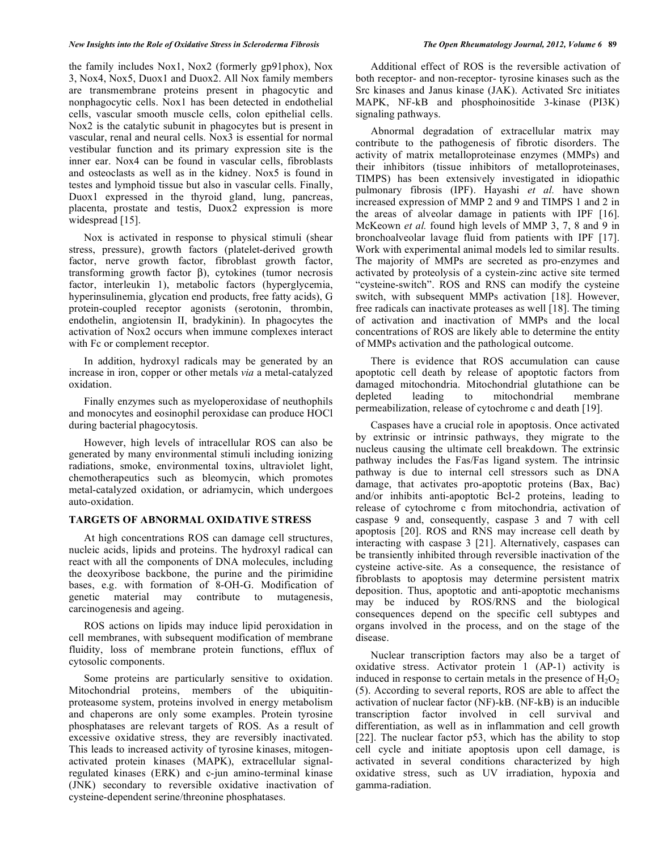#### *New Insights into the Role of Oxidative Stress in Scleroderma Fibrosis The Open Rheumatology Journal, 2012, Volume 6* **89**

the family includes Nox1, Nox2 (formerly gp91phox), Nox 3, Nox4, Nox5, Duox1 and Duox2. All Nox family members are transmembrane proteins present in phagocytic and nonphagocytic cells. Nox1 has been detected in endothelial cells, vascular smooth muscle cells, colon epithelial cells. Nox2 is the catalytic subunit in phagocytes but is present in vascular, renal and neural cells. Nox3 is essential for normal vestibular function and its primary expression site is the inner ear. Nox4 can be found in vascular cells, fibroblasts and osteoclasts as well as in the kidney. Nox5 is found in testes and lymphoid tissue but also in vascular cells. Finally, Duox1 expressed in the thyroid gland, lung, pancreas, placenta, prostate and testis, Duox2 expression is more widespread [15].

 Nox is activated in response to physical stimuli (shear stress, pressure), growth factors (platelet-derived growth factor, nerve growth factor, fibroblast growth factor, transforming growth factor  $\beta$ ), cytokines (tumor necrosis factor, interleukin 1), metabolic factors (hyperglycemia, hyperinsulinemia, glycation end products, free fatty acids), G protein-coupled receptor agonists (serotonin, thrombin, endothelin, angiotensin II, bradykinin). In phagocytes the activation of Nox2 occurs when immune complexes interact with Fc or complement receptor.

 In addition, hydroxyl radicals may be generated by an increase in iron, copper or other metals *via* a metal-catalyzed oxidation.

 Finally enzymes such as myeloperoxidase of neuthophils and monocytes and eosinophil peroxidase can produce HOCl during bacterial phagocytosis.

 However, high levels of intracellular ROS can also be generated by many environmental stimuli including ionizing radiations, smoke, environmental toxins, ultraviolet light, chemotherapeutics such as bleomycin, which promotes metal-catalyzed oxidation, or adriamycin, which undergoes auto-oxidation.

### **TARGETS OF ABNORMAL OXIDATIVE STRESS**

 At high concentrations ROS can damage cell structures, nucleic acids, lipids and proteins. The hydroxyl radical can react with all the components of DNA molecules, including the deoxyribose backbone, the purine and the pirimidine bases, e.g. with formation of 8-OH-G. Modification of genetic material may contribute to mutagenesis, carcinogenesis and ageing.

 ROS actions on lipids may induce lipid peroxidation in cell membranes, with subsequent modification of membrane fluidity, loss of membrane protein functions, efflux of cytosolic components.

 Some proteins are particularly sensitive to oxidation. Mitochondrial proteins, members of the ubiquitinproteasome system, proteins involved in energy metabolism and chaperons are only some examples. Protein tyrosine phosphatases are relevant targets of ROS. As a result of excessive oxidative stress, they are reversibly inactivated. This leads to increased activity of tyrosine kinases, mitogenactivated protein kinases (MAPK), extracellular signalregulated kinases (ERK) and c-jun amino-terminal kinase (JNK) secondary to reversible oxidative inactivation of cysteine-dependent serine/threonine phosphatases.

 Additional effect of ROS is the reversible activation of both receptor- and non-receptor- tyrosine kinases such as the Src kinases and Janus kinase (JAK). Activated Src initiates MAPK, NF-kB and phosphoinositide 3-kinase (PI3K) signaling pathways.

 Abnormal degradation of extracellular matrix may contribute to the pathogenesis of fibrotic disorders. The activity of matrix metalloproteinase enzymes (MMPs) and their inhibitors (tissue inhibitors of metalloproteinases, TIMPS) has been extensively investigated in idiopathic pulmonary fibrosis (IPF). Hayashi *et al.* have shown increased expression of MMP 2 and 9 and TIMPS 1 and 2 in the areas of alveolar damage in patients with IPF [16]. McKeown *et al.* found high levels of MMP 3, 7, 8 and 9 in bronchoalveolar lavage fluid from patients with IPF [17]. Work with experimental animal models led to similar results. The majority of MMPs are secreted as pro-enzymes and activated by proteolysis of a cystein-zinc active site termed "cysteine-switch". ROS and RNS can modify the cysteine switch, with subsequent MMPs activation [18]. However, free radicals can inactivate proteases as well [18]. The timing of activation and inactivation of MMPs and the local concentrations of ROS are likely able to determine the entity of MMPs activation and the pathological outcome.

 There is evidence that ROS accumulation can cause apoptotic cell death by release of apoptotic factors from damaged mitochondria. Mitochondrial glutathione can be depleted leading to mitochondrial membrane permeabilization, release of cytochrome c and death [19].

 Caspases have a crucial role in apoptosis. Once activated by extrinsic or intrinsic pathways, they migrate to the nucleus causing the ultimate cell breakdown. The extrinsic pathway includes the Fas/Fas ligand system. The intrinsic pathway is due to internal cell stressors such as DNA damage, that activates pro-apoptotic proteins (Bax, Bac) and/or inhibits anti-apoptotic Bcl-2 proteins, leading to release of cytochrome c from mitochondria, activation of caspase 9 and, consequently, caspase 3 and 7 with cell apoptosis [20]. ROS and RNS may increase cell death by interacting with caspase 3 [21]. Alternatively, caspases can be transiently inhibited through reversible inactivation of the cysteine active-site. As a consequence, the resistance of fibroblasts to apoptosis may determine persistent matrix deposition. Thus, apoptotic and anti-apoptotic mechanisms may be induced by ROS/RNS and the biological consequences depend on the specific cell subtypes and organs involved in the process, and on the stage of the disease.

 Nuclear transcription factors may also be a target of oxidative stress. Activator protein 1 (AP-1) activity is induced in response to certain metals in the presence of  $H_2O_2$ (5). According to several reports, ROS are able to affect the activation of nuclear factor (NF)-kB. (NF-kB) is an inducible transcription factor involved in cell survival and differentiation, as well as in inflammation and cell growth [22]. The nuclear factor p53, which has the ability to stop cell cycle and initiate apoptosis upon cell damage, is activated in several conditions characterized by high oxidative stress, such as UV irradiation, hypoxia and gamma-radiation.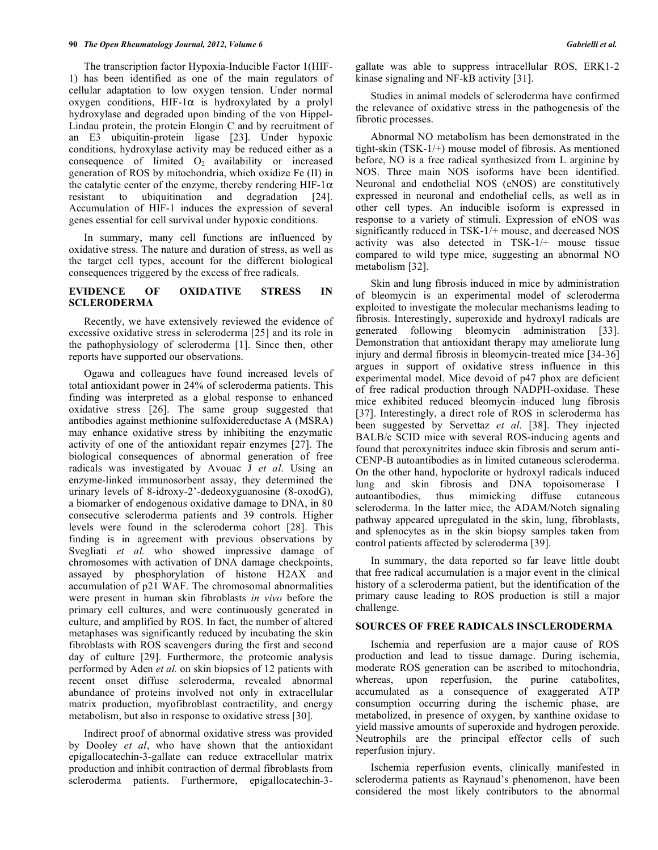The transcription factor Hypoxia-Inducible Factor 1(HIF-1) has been identified as one of the main regulators of cellular adaptation to low oxygen tension. Under normal oxygen conditions, HIF-1 $\alpha$  is hydroxylated by a prolyl hydroxylase and degraded upon binding of the von Hippel-Lindau protein, the protein Elongin C and by recruitment of an E3 ubiquitin-protein ligase [23]. Under hypoxic conditions, hydroxylase activity may be reduced either as a consequence of limited  $O_2$  availability or increased generation of ROS by mitochondria, which oxidize Fe (II) in the catalytic center of the enzyme, thereby rendering HIF-1 $\alpha$ resistant to ubiquitination and degradation [24]. Accumulation of HIF-1 induces the expression of several genes essential for cell survival under hypoxic conditions.

 In summary, many cell functions are influenced by oxidative stress. The nature and duration of stress, as well as the target cell types, account for the different biological consequences triggered by the excess of free radicals.

### **EVIDENCE OF OXIDATIVE STRESS IN SCLERODERMA**

 Recently, we have extensively reviewed the evidence of excessive oxidative stress in scleroderma [25] and its role in the pathophysiology of scleroderma [1]. Since then, other reports have supported our observations.

 Ogawa and colleagues have found increased levels of total antioxidant power in 24% of scleroderma patients. This finding was interpreted as a global response to enhanced oxidative stress [26]. The same group suggested that antibodies against methionine sulfoxidereductase A (MSRA) may enhance oxidative stress by inhibiting the enzymatic activity of one of the antioxidant repair enzymes [27]. The biological consequences of abnormal generation of free radicals was investigated by Avouac J *et al*. Using an enzyme-linked immunosorbent assay, they determined the urinary levels of 8-idroxy-2'-dedeoxyguanosine (8-oxodG), a biomarker of endogenous oxidative damage to DNA, in 80 consecutive scleroderma patients and 39 controls. Higher levels were found in the scleroderma cohort [28]. This finding is in agreement with previous observations by Svegliati et al. who showed impressive damage of chromosomes with activation of DNA damage checkpoints, assayed by phosphorylation of histone H2AX and accumulation of p21 WAF. The chromosomal abnormalities were present in human skin fibroblasts *in vivo* before the primary cell cultures, and were continuously generated in culture, and amplified by ROS. In fact, the number of altered metaphases was significantly reduced by incubating the skin fibroblasts with ROS scavengers during the first and second day of culture [29]. Furthermore, the proteomic analysis performed by Aden *et al.* on skin biopsies of 12 patients with recent onset diffuse scleroderma, revealed abnormal abundance of proteins involved not only in extracellular matrix production, myofibroblast contractility, and energy metabolism, but also in response to oxidative stress [30].

 Indirect proof of abnormal oxidative stress was provided by Dooley *et al*, who have shown that the antioxidant epigallocatechin-3-gallate can reduce extracellular matrix production and inhibit contraction of dermal fibroblasts from scleroderma patients. Furthermore, epigallocatechin-3gallate was able to suppress intracellular ROS, ERK1-2 kinase signaling and NF-kB activity [31].

 Studies in animal models of scleroderma have confirmed the relevance of oxidative stress in the pathogenesis of the fibrotic processes.

 Abnormal NO metabolism has been demonstrated in the tight-skin (TSK-1/+) mouse model of fibrosis. As mentioned before, NO is a free radical synthesized from L arginine by NOS. Three main NOS isoforms have been identified. Neuronal and endothelial NOS (eNOS) are constitutively expressed in neuronal and endothelial cells, as well as in other cell types. An inducible isoform is expressed in response to a variety of stimuli. Expression of eNOS was significantly reduced in TSK-1/+ mouse, and decreased NOS activity was also detected in TSK-1/+ mouse tissue compared to wild type mice, suggesting an abnormal NO metabolism [32].

 Skin and lung fibrosis induced in mice by administration of bleomycin is an experimental model of scleroderma exploited to investigate the molecular mechanisms leading to fibrosis. Interestingly, superoxide and hydroxyl radicals are generated following bleomycin administration [33]. Demonstration that antioxidant therapy may ameliorate lung injury and dermal fibrosis in bleomycin-treated mice [34-36] argues in support of oxidative stress influence in this experimental model. Mice devoid of p47 phox are deficient of free radical production through NADPH-oxidase. These mice exhibited reduced bleomycin–induced lung fibrosis [37]. Interestingly, a direct role of ROS in scleroderma has been suggested by Servettaz *et al*. [38]. They injected BALB/c SCID mice with several ROS-inducing agents and found that peroxynitrites induce skin fibrosis and serum anti-CENP-B autoantibodies as in limited cutaneous scleroderma. On the other hand, hypoclorite or hydroxyl radicals induced lung and skin fibrosis and DNA topoisomerase I autoantibodies, thus mimicking diffuse cutaneous scleroderma. In the latter mice, the ADAM/Notch signaling pathway appeared upregulated in the skin, lung, fibroblasts, and splenocytes as in the skin biopsy samples taken from control patients affected by scleroderma [39].

 In summary, the data reported so far leave little doubt that free radical accumulation is a major event in the clinical history of a scleroderma patient, but the identification of the primary cause leading to ROS production is still a major challenge.

## **SOURCES OF FREE RADICALS INSCLERODERMA**

 Ischemia and reperfusion are a major cause of ROS production and lead to tissue damage. During ischemia, moderate ROS generation can be ascribed to mitochondria, whereas, upon reperfusion, the purine catabolites, accumulated as a consequence of exaggerated ATP consumption occurring during the ischemic phase, are metabolized, in presence of oxygen, by xanthine oxidase to yield massive amounts of superoxide and hydrogen peroxide. Neutrophils are the principal effector cells of such reperfusion injury.

 Ischemia reperfusion events, clinically manifested in scleroderma patients as Raynaud's phenomenon, have been considered the most likely contributors to the abnormal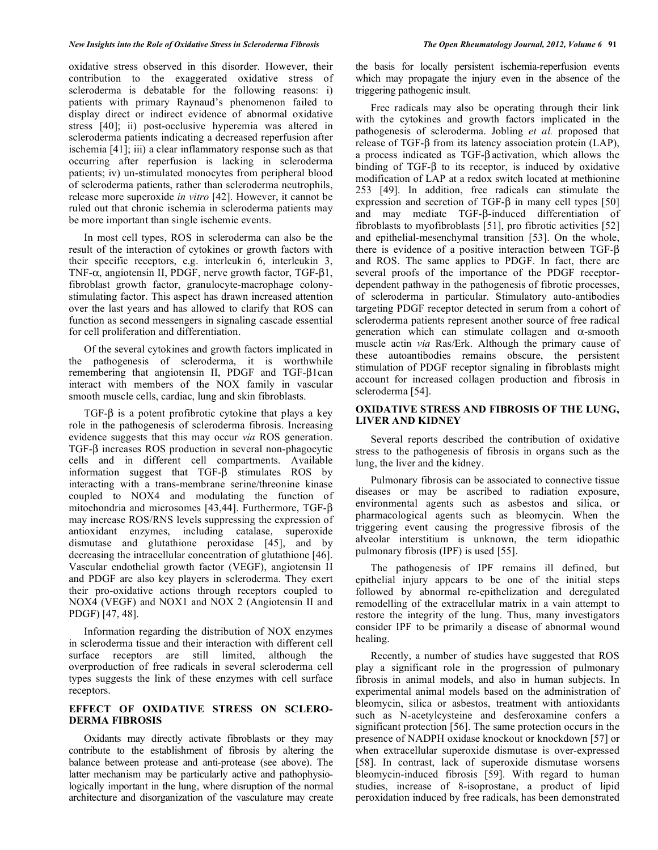oxidative stress observed in this disorder. However, their contribution to the exaggerated oxidative stress of scleroderma is debatable for the following reasons: i) patients with primary Raynaud's phenomenon failed to display direct or indirect evidence of abnormal oxidative stress [40]; ii) post-occlusive hyperemia was altered in scleroderma patients indicating a decreased reperfusion after ischemia [41]; iii) a clear inflammatory response such as that occurring after reperfusion is lacking in scleroderma patients; iv) un-stimulated monocytes from peripheral blood of scleroderma patients, rather than scleroderma neutrophils, release more superoxide *in vitro* [42]. However, it cannot be ruled out that chronic ischemia in scleroderma patients may be more important than single ischemic events.

 In most cell types, ROS in scleroderma can also be the result of the interaction of cytokines or growth factors with their specific receptors, e.g. interleukin 6, interleukin 3, TNF- $\alpha$ , angiotensin II, PDGF, nerve growth factor, TGF- $\beta$ 1, fibroblast growth factor, granulocyte-macrophage colonystimulating factor. This aspect has drawn increased attention over the last years and has allowed to clarify that ROS can function as second messengers in signaling cascade essential for cell proliferation and differentiation.

 Of the several cytokines and growth factors implicated in the pathogenesis of scleroderma, it is worthwhile remembering that angiotensin II, PDGF and TGF- $\beta$ 1can interact with members of the NOX family in vascular smooth muscle cells, cardiac, lung and skin fibroblasts.

 $TGF-\beta$  is a potent profibrotic cytokine that plays a key role in the pathogenesis of scleroderma fibrosis. Increasing evidence suggests that this may occur *via* ROS generation. TGF- $\beta$  increases ROS production in several non-phagocytic cells and in different cell compartments. Available information suggest that  $TGF- $\beta$$  stimulates ROS by interacting with a trans-membrane serine/threonine kinase coupled to NOX4 and modulating the function of mitochondria and microsomes [43,44]. Furthermore, TGF- $\beta$ may increase ROS/RNS levels suppressing the expression of antioxidant enzymes, including catalase, superoxide dismutase and glutathione peroxidase [45], and by decreasing the intracellular concentration of glutathione [46]. Vascular endothelial growth factor (VEGF), angiotensin II and PDGF are also key players in scleroderma. They exert their pro-oxidative actions through receptors coupled to NOX4 (VEGF) and NOX1 and NOX 2 (Angiotensin II and PDGF) [47, 48].

 Information regarding the distribution of NOX enzymes in scleroderma tissue and their interaction with different cell surface receptors are still limited, although the overproduction of free radicals in several scleroderma cell types suggests the link of these enzymes with cell surface receptors.

#### **EFFECT OF OXIDATIVE STRESS ON SCLERO-DERMA FIBROSIS**

 Oxidants may directly activate fibroblasts or they may contribute to the establishment of fibrosis by altering the balance between protease and anti-protease (see above). The latter mechanism may be particularly active and pathophysiologically important in the lung, where disruption of the normal architecture and disorganization of the vasculature may create the basis for locally persistent ischemia-reperfusion events which may propagate the injury even in the absence of the triggering pathogenic insult.

 Free radicals may also be operating through their link with the cytokines and growth factors implicated in the pathogenesis of scleroderma. Jobling *et al.* proposed that  $r$ elease of TGF- $\beta$  from its latency association protein (LAP), a process indicated as  $TGF- $\beta$  activation, which allows the$ binding of  $TGF - \beta$  to its receptor, is induced by oxidative modification of LAP at a redox switch located at methionine 253 [49]. In addition, free radicals can stimulate the expression and secretion of TGF- $\beta$  in many cell types [50] and may mediate TGF- $\beta$ -induced differentiation of fibroblasts to myofibroblasts [51], pro fibrotic activities [52] and epithelial-mesenchymal transition [53]. On the whole, there is evidence of a positive interaction between TGF- $\beta$ and ROS. The same applies to PDGF. In fact, there are several proofs of the importance of the PDGF receptordependent pathway in the pathogenesis of fibrotic processes, of scleroderma in particular. Stimulatory auto-antibodies targeting PDGF receptor detected in serum from a cohort of scleroderma patients represent another source of free radical generation which can stimulate collagen and  $\alpha$ -smooth muscle actin *via* Ras/Erk. Although the primary cause of these autoantibodies remains obscure, the persistent stimulation of PDGF receptor signaling in fibroblasts might account for increased collagen production and fibrosis in scleroderma [54].

### **OXIDATIVE STRESS AND FIBROSIS OF THE LUNG, LIVER AND KIDNEY**

 Several reports described the contribution of oxidative stress to the pathogenesis of fibrosis in organs such as the lung, the liver and the kidney.

 Pulmonary fibrosis can be associated to connective tissue diseases or may be ascribed to radiation exposure, environmental agents such as asbestos and silica, or pharmacological agents such as bleomycin. When the triggering event causing the progressive fibrosis of the alveolar interstitium is unknown, the term idiopathic pulmonary fibrosis (IPF) is used [55].

 The pathogenesis of IPF remains ill defined, but epithelial injury appears to be one of the initial steps followed by abnormal re-epithelization and deregulated remodelling of the extracellular matrix in a vain attempt to restore the integrity of the lung. Thus, many investigators consider IPF to be primarily a disease of abnormal wound healing.

 Recently, a number of studies have suggested that ROS play a significant role in the progression of pulmonary fibrosis in animal models, and also in human subjects. In experimental animal models based on the administration of bleomycin, silica or asbestos, treatment with antioxidants such as N-acetylcysteine and desferoxamine confers a significant protection [56]. The same protection occurs in the presence of NADPH oxidase knockout or knockdown [57] or when extracellular superoxide dismutase is over-expressed [58]. In contrast, lack of superoxide dismutase worsens bleomycin-induced fibrosis [59]. With regard to human studies, increase of 8-isoprostane, a product of lipid peroxidation induced by free radicals, has been demonstrated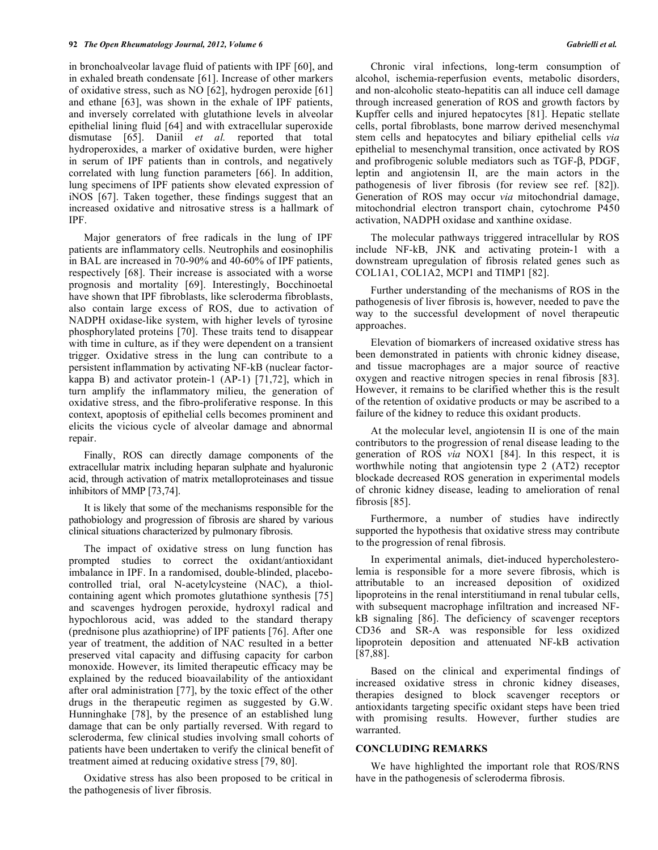in bronchoalveolar lavage fluid of patients with IPF [60], and in exhaled breath condensate [61]. Increase of other markers of oxidative stress, such as NO [62], hydrogen peroxide [61] and ethane [63], was shown in the exhale of IPF patients, and inversely correlated with glutathione levels in alveolar epithelial lining fluid [64] and with extracellular superoxide dismutase [65]. Daniil *et al.* reported that total hydroperoxides, a marker of oxidative burden, were higher in serum of IPF patients than in controls, and negatively correlated with lung function parameters [66]. In addition, lung specimens of IPF patients show elevated expression of iNOS [67]. Taken together, these findings suggest that an increased oxidative and nitrosative stress is a hallmark of IPF.

 Major generators of free radicals in the lung of IPF patients are inflammatory cells. Neutrophils and eosinophilis in BAL are increased in 70-90% and 40-60% of IPF patients, respectively [68]. Their increase is associated with a worse prognosis and mortality [69]. Interestingly, Bocchinoetal have shown that IPF fibroblasts, like scleroderma fibroblasts, also contain large excess of ROS, due to activation of NADPH oxidase-like system, with higher levels of tyrosine phosphorylated proteins [70]. These traits tend to disappear with time in culture, as if they were dependent on a transient trigger. Oxidative stress in the lung can contribute to a persistent inflammation by activating NF-kB (nuclear factorkappa B) and activator protein-1 (AP-1) [71,72], which in turn amplify the inflammatory milieu, the generation of oxidative stress, and the fibro-proliferative response. In this context, apoptosis of epithelial cells becomes prominent and elicits the vicious cycle of alveolar damage and abnormal repair.

 Finally, ROS can directly damage components of the extracellular matrix including heparan sulphate and hyaluronic acid, through activation of matrix metalloproteinases and tissue inhibitors of MMP [73,74].

 It is likely that some of the mechanisms responsible for the pathobiology and progression of fibrosis are shared by various clinical situations characterized by pulmonary fibrosis.

 The impact of oxidative stress on lung function has prompted studies to correct the oxidant/antioxidant imbalance in IPF. In a randomised, double-blinded, placebocontrolled trial, oral N-acetylcysteine (NAC), a thiolcontaining agent which promotes glutathione synthesis [75] and scavenges hydrogen peroxide, hydroxyl radical and hypochlorous acid, was added to the standard therapy (prednisone plus azathioprine) of IPF patients [76]. After one year of treatment, the addition of NAC resulted in a better preserved vital capacity and diffusing capacity for carbon monoxide. However, its limited therapeutic efficacy may be explained by the reduced bioavailability of the antioxidant after oral administration [77], by the toxic effect of the other drugs in the therapeutic regimen as suggested by G.W. Hunninghake [78], by the presence of an established lung damage that can be only partially reversed. With regard to scleroderma, few clinical studies involving small cohorts of patients have been undertaken to verify the clinical benefit of treatment aimed at reducing oxidative stress [79, 80].

 Oxidative stress has also been proposed to be critical in the pathogenesis of liver fibrosis.

 Chronic viral infections, long-term consumption of alcohol, ischemia-reperfusion events, metabolic disorders, and non-alcoholic steato-hepatitis can all induce cell damage through increased generation of ROS and growth factors by Kupffer cells and injured hepatocytes [81]. Hepatic stellate cells, portal fibroblasts, bone marrow derived mesenchymal stem cells and hepatocytes and biliary epithelial cells *via*  epithelial to mesenchymal transition, once activated by ROS and profibrogenic soluble mediators such as TGF- $\beta$ , PDGF, leptin and angiotensin II, are the main actors in the pathogenesis of liver fibrosis (for review see ref. [82]). Generation of ROS may occur *via* mitochondrial damage, mitochondrial electron transport chain, cytochrome P450 activation, NADPH oxidase and xanthine oxidase.

 The molecular pathways triggered intracellular by ROS include NF-kB, JNK and activating protein-1 with a downstream upregulation of fibrosis related genes such as COL1A1, COL1A2, MCP1 and TIMP1 [82].

 Further understanding of the mechanisms of ROS in the pathogenesis of liver fibrosis is, however, needed to pave the way to the successful development of novel therapeutic approaches.

 Elevation of biomarkers of increased oxidative stress has been demonstrated in patients with chronic kidney disease, and tissue macrophages are a major source of reactive oxygen and reactive nitrogen species in renal fibrosis [83]. However, it remains to be clarified whether this is the result of the retention of oxidative products or may be ascribed to a failure of the kidney to reduce this oxidant products.

 At the molecular level, angiotensin II is one of the main contributors to the progression of renal disease leading to the generation of ROS *via* NOX1 [84]. In this respect, it is worthwhile noting that angiotensin type 2 (AT2) receptor blockade decreased ROS generation in experimental models of chronic kidney disease, leading to amelioration of renal fibrosis [85].

 Furthermore, a number of studies have indirectly supported the hypothesis that oxidative stress may contribute to the progression of renal fibrosis.

 In experimental animals, diet-induced hypercholesterolemia is responsible for a more severe fibrosis, which is attributable to an increased deposition of oxidized lipoproteins in the renal interstitiumand in renal tubular cells, with subsequent macrophage infiltration and increased NFkB signaling [86]. The deficiency of scavenger receptors CD36 and SR-A was responsible for less oxidized lipoprotein deposition and attenuated NF-kB activation [87,88].

 Based on the clinical and experimental findings of increased oxidative stress in chronic kidney diseases, therapies designed to block scavenger receptors or antioxidants targeting specific oxidant steps have been tried with promising results. However, further studies are warranted.

#### **CONCLUDING REMARKS**

 We have highlighted the important role that ROS/RNS have in the pathogenesis of scleroderma fibrosis.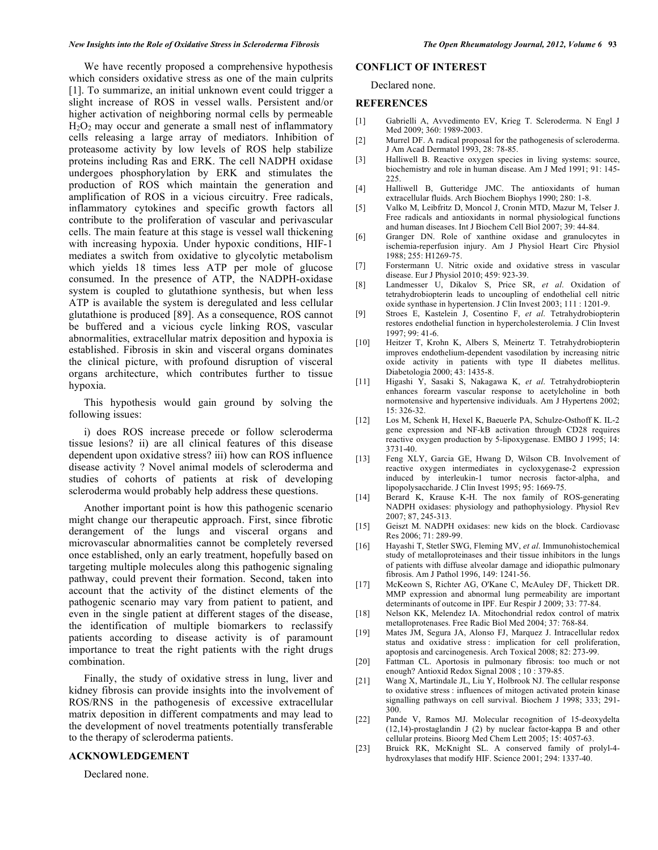We have recently proposed a comprehensive hypothesis which considers oxidative stress as one of the main culprits [1]. To summarize, an initial unknown event could trigger a slight increase of ROS in vessel walls. Persistent and/or higher activation of neighboring normal cells by permeable  $H<sub>2</sub>O<sub>2</sub>$  may occur and generate a small nest of inflammatory cells releasing a large array of mediators. Inhibition of proteasome activity by low levels of ROS help stabilize proteins including Ras and ERK. The cell NADPH oxidase undergoes phosphorylation by ERK and stimulates the production of ROS which maintain the generation and amplification of ROS in a vicious circuitry. Free radicals, inflammatory cytokines and specific growth factors all contribute to the proliferation of vascular and perivascular cells. The main feature at this stage is vessel wall thickening with increasing hypoxia. Under hypoxic conditions, HIF-1 mediates a switch from oxidative to glycolytic metabolism which yields 18 times less ATP per mole of glucose consumed. In the presence of ATP, the NADPH-oxidase system is coupled to glutathione synthesis, but when less ATP is available the system is deregulated and less cellular glutathione is produced [89]. As a consequence, ROS cannot be buffered and a vicious cycle linking ROS, vascular abnormalities, extracellular matrix deposition and hypoxia is established. Fibrosis in skin and visceral organs dominates the clinical picture, with profound disruption of visceral organs architecture, which contributes further to tissue hypoxia.

 This hypothesis would gain ground by solving the following issues:

 i) does ROS increase precede or follow scleroderma tissue lesions? ii) are all clinical features of this disease dependent upon oxidative stress? iii) how can ROS influence disease activity ? Novel animal models of scleroderma and studies of cohorts of patients at risk of developing scleroderma would probably help address these questions.

 Another important point is how this pathogenic scenario might change our therapeutic approach. First, since fibrotic derangement of the lungs and visceral organs and microvascular abnormalities cannot be completely reversed once established, only an early treatment, hopefully based on targeting multiple molecules along this pathogenic signaling pathway, could prevent their formation. Second, taken into account that the activity of the distinct elements of the pathogenic scenario may vary from patient to patient, and even in the single patient at different stages of the disease, the identification of multiple biomarkers to reclassify patients according to disease activity is of paramount importance to treat the right patients with the right drugs combination.

 Finally, the study of oxidative stress in lung, liver and kidney fibrosis can provide insights into the involvement of ROS/RNS in the pathogenesis of excessive extracellular matrix deposition in different compatments and may lead to the development of novel treatments potentially transferable to the therapy of scleroderma patients.

#### **ACKNOWLEDGEMENT**

Declared none.

#### **CONFLICT OF INTEREST**

Declared none.

#### **REFERENCES**

- [1] Gabrielli A, Avvedimento EV, Krieg T. Scleroderma. N Engl J Med 2009; 360: 1989-2003.
- [2] Murrel DF. A radical proposal for the pathogenesis of scleroderma. J Am Acad Dermatol 1993, 28: 78-85.
- [3] Halliwell B. Reactive oxygen species in living systems: source, biochemistry and role in human disease. Am J Med 1991; 91: 145- 225.
- [4] Halliwell B, Gutteridge JMC. The antioxidants of human extracellular fluids. Arch Biochem Biophys 1990; 280: 1-8.
- [5] Valko M, Leibfritz D, Moncol J, Cronin MTD, Mazur M, Telser J. Free radicals and antioxidants in normal physiological functions and human diseases. Int J Biochem Cell Biol 2007; 39: 44-84.
- [6] Granger DN. Role of xanthine oxidase and granulocytes in ischemia-reperfusion injury. Am J Physiol Heart Circ Physiol 1988; 255: H1269-75.
- [7] Forstermann U. Nitric oxide and oxidative stress in vascular disease. Eur J Physiol 2010; 459: 923-39.
- [8] Landmesser U, Dikalov S, Price SR, *et al*. Oxidation of tetrahydrobiopterin leads to uncoupling of endothelial cell nitric oxide synthase in hypertension. J Clin Invest 2003; 111 : 1201-9.
- [9] Stroes E, Kastelein J, Cosentino F, *et al*. Tetrahydrobiopterin restores endothelial function in hypercholesterolemia. J Clin Invest 1997; 99: 41-6.
- [10] Heitzer T, Krohn K, Albers S, Meinertz T. Tetrahydrobiopterin improves endothelium-dependent vasodilation by increasing nitric oxide activity in patients with type II diabetes mellitus. Diabetologia 2000; 43: 1435-8.
- [11] Higashi Y, Sasaki S, Nakagawa K, *et al*. Tetrahydrobiopterin enhances forearm vascular response to acetylcholine in both normotensive and hypertensive individuals. Am J Hypertens 2002; 15: 326-32.
- [12] Los M, Schenk H, Hexel K, Baeuerle PA, Schulze-Osthoff K. IL-2 gene expression and NF-kB activation through CD28 requires reactive oxygen production by 5-lipoxygenase. EMBO J 1995; 14: 3731-40.
- [13] Feng XLY, Garcia GE, Hwang D, Wilson CB. Involvement of reactive oxygen intermediates in cycloxygenase-2 expression induced by interleukin-1 tumor necrosis factor-alpha, and lipopolysaccharide. J Clin Invest 1995; 95: 1669-75.
- [14] Berard K, Krause K-H. The nox family of ROS-generating NADPH oxidases: physiology and pathophysiology. Physiol Rev 2007; 87, 245-313.
- [15] Geiszt M. NADPH oxidases: new kids on the block. Cardiovasc Res 2006; 71: 289-99.
- [16] Hayashi T, Stetler SWG, Fleming MV, *et al*. Immunohistochemical study of metalloproteinases and their tissue inhibitors in the lungs of patients with diffuse alveolar damage and idiopathic pulmonary fibrosis. Am J Pathol 1996, 149: 1241-56.
- [17] McKeown S, Richter AG, O'Kane C, McAuley DF, Thickett DR. MMP expression and abnormal lung permeability are important determinants of outcome in IPF. Eur Respir J 2009; 33: 77-84.
- [18] Nelson KK, Melendez IA. Mitochondrial redox control of matrix metalloprotenases. Free Radic Biol Med 2004; 37: 768-84.
- [19] Mates JM, Segura JA, Alonso FJ, Marquez J. Intracellular redox status and oxidative stress : implication for cell proliferation, apoptosis and carcinogenesis. Arch Toxical 2008; 82: 273-99.
- [20] Fattman CL. Aportosis in pulmonary fibrosis: too much or not enough? Antioxid Redox Signal 2008 ; 10 : 379-85.
- [21] Wang X, Martindale JL, Liu Y, Holbrook NJ. The cellular response to oxidative stress : influences of mitogen activated protein kinase signalling pathways on cell survival. Biochem J 1998; 333; 291- 300.
- [22] Pande V, Ramos MJ. Molecular recognition of 15-deoxydelta (12,14)-prostaglandin J (2) by nuclear factor-kappa B and other cellular proteins. Bioorg Med Chem Lett 2005; 15: 4057-63.
- [23] Bruick RK, McKnight SL. A conserved family of prolyl-4 hydroxylases that modify HIF. Science 2001; 294: 1337-40.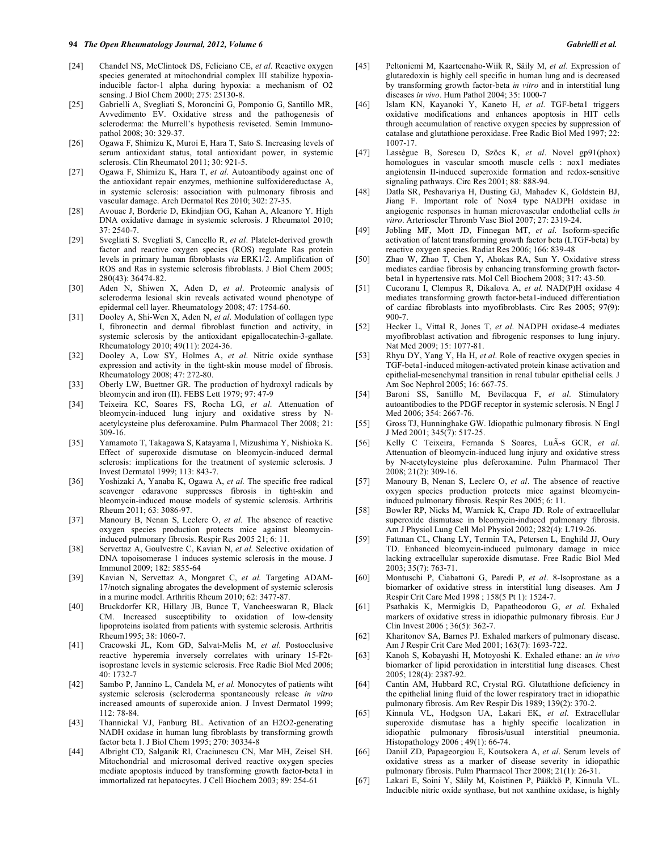- [24] Chandel NS, McClintock DS, Feliciano CE, *et al*. Reactive oxygen species generated at mitochondrial complex III stabilize hypoxiainducible factor-1 alpha during hypoxia: a mechanism of O2 sensing. J Biol Chem 2000; 275: 25130-8.
- [25] Gabrielli A, Svegliati S, Moroncini G, Pomponio G, Santillo MR, Avvedimento EV. Oxidative stress and the pathogenesis of scleroderma: the Murrell's hypothesis reviseted. Semin Immunopathol 2008; 30: 329-37.
- [26] Ogawa F, Shimizu K, Muroi E, Hara T, Sato S. Increasing levels of serum antioxidant status, total antioxidant power, in systemic sclerosis. Clin Rheumatol 2011; 30: 921-5.
- [27] Ogawa F, Shimizu K, Hara T, *et al*. Autoantibody against one of the antioxidant repair enzymes, methionine sulfoxidereductase A, in systemic sclerosis: association with pulmonary fibrosis and vascular damage. Arch Dermatol Res 2010; 302: 27-35.
- [28] Avouac J, Borderie D, Ekindjian OG, Kahan A, Aleanore Y. High DNA oxidative damage in systemic sclerosis. J Rheumatol 2010; 37: 2540-7.
- [29] Svegliati S. Svegliati S, Cancello R, *et al*. Platelet-derived growth factor and reactive oxygen species (ROS) regulate Ras protein levels in primary human fibroblasts *via* ERK1/2. Amplification of ROS and Ras in systemic sclerosis fibroblasts. J Biol Chem 2005; 280(43): 36474-82.
- [30] Aden N, Shiwen X, Aden D, *et al*. Proteomic analysis of scleroderma lesional skin reveals activated wound phenotype of epidermal cell layer. Rheumatology 2008; 47: 1754-60.
- [31] Dooley A, Shi-Wen X, Aden N, *et al*. Modulation of collagen type I, fibronectin and dermal fibroblast function and activity, in systemic sclerosis by the antioxidant epigallocatechin-3-gallate. Rheumatology 2010; 49(11): 2024-36.
- [32] Dooley A, Low SY, Holmes A, *et al*. Nitric oxide synthase expression and activity in the tight-skin mouse model of fibrosis. Rheumatology 2008; 47: 272-80.
- [33] Oberly LW, Buettner GR. The production of hydroxyl radicals by bleomycin and iron (II). FEBS Lett 1979; 97: 47-9
- [34] Teixeira KC, Soares FS, Rocha LG, *et al*. Attenuation of bleomycin-induced lung injury and oxidative stress by Nacetylcysteine plus deferoxamine. Pulm Pharmacol Ther 2008; 21: 309-16.
- [35] Yamamoto T, Takagawa S, Katayama I, Mizushima Y, Nishioka K. Effect of superoxide dismutase on bleomycin-induced dermal sclerosis: implications for the treatment of systemic sclerosis. J Invest Dermatol 1999; 113: 843-7.
- [36] Yoshizaki A, Yanaba K, Ogawa A, *et al.* The specific free radical scavenger edaravone suppresses fibrosis in tight-skin and bleomycin-induced mouse models of systemic sclerosis. Arthritis Rheum 2011; 63: 3086-97.
- [37] Manoury B, Nenan S, Leclerc O, et al. The absence of reactive oxygen species production protects mice against bleomycininduced pulmonary fibrosis. Respir Res 2005 21; 6: 11.
- [38] Servettaz A, Goulvestre C, Kavian N, *et al.* Selective oxidation of DNA topoisomerase 1 induces systemic sclerosis in the mouse. J Immunol 2009; 182: 5855-64
- [39] Kavian N, Servettaz A, Mongaret C, *et al.* Targeting ADAM-17/notch signaling abrogates the development of systemic sclerosis in a murine model. Arthritis Rheum 2010; 62: 3477-87.
- [40] Bruckdorfer KR, Hillary JB, Bunce T, Vancheeswaran R, Black CM. Increased susceptibility to oxidation of low-density lipoproteins isolated from patients with systemic sclerosis. Arthritis Rheum1995; 38: 1060-7.
- [41] Cracowski JL, Kom GD, Salvat-Melis M, *et al*. Postocclusive reactive hyperemia inversely correlates with urinary 15-F2tisoprostane levels in systemic sclerosis. Free Radic Biol Med 2006; 40: 1732-7
- [42] Sambo P, Jannino L, Candela M, *et al.* Monocytes of patients wiht systemic sclerosis (scleroderma spontaneously release *in vitro* increased amounts of superoxide anion. J Invest Dermatol 1999; 112: 78-84.
- [43] Thannickal VJ, Fanburg BL. Activation of an H2O2-generating NADH oxidase in human lung fibroblasts by transforming growth factor beta 1. J Biol Chem 1995; 270: 30334-8
- [44] Albright CD, Salganik RI, Craciunescu CN, Mar MH, Zeisel SH. Mitochondrial and microsomal derived reactive oxygen species mediate apoptosis induced by transforming growth factor-beta1 in immortalized rat hepatocytes. J Cell Biochem 2003; 89: 254-61
- [45] Peltoniemi M, Kaarteenaho-Wiik R, Säily M, *et al*. Expression of glutaredoxin is highly cell specific in human lung and is decreased by transforming growth factor-beta *in vitro* and in interstitial lung diseases *in vivo*. Hum Pathol 2004; 35: 1000-7
- [46] Islam KN, Kayanoki Y, Kaneto H, *et al*. TGF-beta1 triggers oxidative modifications and enhances apoptosis in HIT cells through accumulation of reactive oxygen species by suppression of catalase and glutathione peroxidase. Free Radic Biol Med 1997; 22: 1007-17.
- [47] Lassègue B, Sorescu D, Szöcs K, *et al*. Novel gp91(phox) homologues in vascular smooth muscle cells : nox1 mediates angiotensin II-induced superoxide formation and redox-sensitive signaling pathways. Circ Res 2001; 88: 888-94.
- [48] Datla SR, Peshavariya H, Dusting GJ, Mahadev K, Goldstein BJ, Jiang F. Important role of Nox4 type NADPH oxidase in angiogenic responses in human microvascular endothelial cells *in vitro*. Arterioscler Thromb Vasc Biol 2007; 27: 2319-24.
- [49] Jobling MF, Mott JD, Finnegan MT, *et al*. Isoform-specific activation of latent transforming growth factor beta (LTGF-beta) by reactive oxygen species. Radiat Res 2006; 166: 839-48
- [50] Zhao W, Zhao T, Chen Y, Ahokas RA, Sun Y. Oxidative stress mediates cardiac fibrosis by enhancing transforming growth factorbeta1 in hypertensive rats. Mol Cell Biochem 2008; 317: 43-50.
- [51] Cucoranu I, Clempus R, Dikalova A, *et al.* NAD(P)H oxidase 4 mediates transforming growth factor-beta1-induced differentiation of cardiac fibroblasts into myofibroblasts. Circ Res 2005; 97(9): 900-7.
- [52] Hecker L, Vittal R, Jones T, *et al*. NADPH oxidase-4 mediates myofibroblast activation and fibrogenic responses to lung injury. Nat Med 2009; 15: 1077-81.
- [53] Rhyu DY, Yang Y, Ha H, *et al*. Role of reactive oxygen species in TGF-beta1-induced mitogen-activated protein kinase activation and epithelial-mesenchymal transition in renal tubular epithelial cells. J Am Soc Nephrol 2005; 16: 667-75.
- [54] Baroni SS, Santillo M, Bevilacqua F, *et al*. Stimulatory autoantibodies to the PDGF receptor in systemic sclerosis. N Engl J Med 2006; 354: 2667-76.
- [55] Gross TJ, Hunninghake GW. Idiopathic pulmonary fibrosis. N Engl J Med 2001; 345(7): 517-25.
- [56] Kelly C Teixeira, Fernanda S Soares, LuÃ-s GCR, *et al*. Attenuation of bleomycin-induced lung injury and oxidative stress by N-acetylcysteine plus deferoxamine. Pulm Pharmacol Ther 2008; 21(2): 309-16.
- [57] Manoury B, Nenan S, Leclerc O, *et al*. The absence of reactive oxygen species production protects mice against bleomycininduced pulmonary fibrosis. Respir Res 2005; 6: 11.
- [58] Bowler RP, Nicks M, Warnick K, Crapo JD. Role of extracellular superoxide dismutase in bleomycin-induced pulmonary fibrosis. Am J Physiol Lung Cell Mol Physiol 2002; 282(4): L719-26.
- [59] Fattman CL, Chang LY, Termin TA, Petersen L, Enghild JJ, Oury TD. Enhanced bleomycin-induced pulmonary damage in mice lacking extracellular superoxide dismutase. Free Radic Biol Med 2003; 35(7): 763-71.
- [60] Montuschi P, Ciabattoni G, Paredi P, *et al*. 8-Isoprostane as a biomarker of oxidative stress in interstitial lung diseases. Am J Respir Crit Care Med 1998 ; 158(5 Pt 1): 1524-7.
- [61] Psathakis K, Mermigkis D, Papatheodorou G, *et al*. Exhaled markers of oxidative stress in idiopathic pulmonary fibrosis. Eur J Clin Invest 2006 ; 36(5): 362-7.
- [62] Kharitonov SA, Barnes PJ. Exhaled markers of pulmonary disease. Am J Respir Crit Care Med 2001; 163(7): 1693-722.
- [63] Kanoh S, Kobayashi H, Motoyoshi K. Exhaled ethane: an *in vivo* biomarker of lipid peroxidation in interstitial lung diseases. Chest 2005; 128(4): 2387-92.
- [64] Cantin AM, Hubbard RC, Crystal RG. Glutathione deficiency in the epithelial lining fluid of the lower respiratory tract in idiopathic pulmonary fibrosis. Am Rev Respir Dis 1989; 139(2): 370-2.
- [65] Kinnula VL, Hodgson UA, Lakari EK, *et al*. Extracellular superoxide dismutase has a highly specific localization in idiopathic pulmonary fibrosis/usual interstitial pneumonia. Histopathology 2006 ; 49(1): 66-74.
- [66] Daniil ZD, Papageorgiou E, Koutsokera A, *et al*. Serum levels of oxidative stress as a marker of disease severity in idiopathic pulmonary fibrosis. Pulm Pharmacol Ther 2008; 21(1): 26-31.
- [67] Lakari E, Soini Y, Säily M, Koistinen P, Pääkkö P, Kinnula VL. Inducible nitric oxide synthase, but not xanthine oxidase, is highly